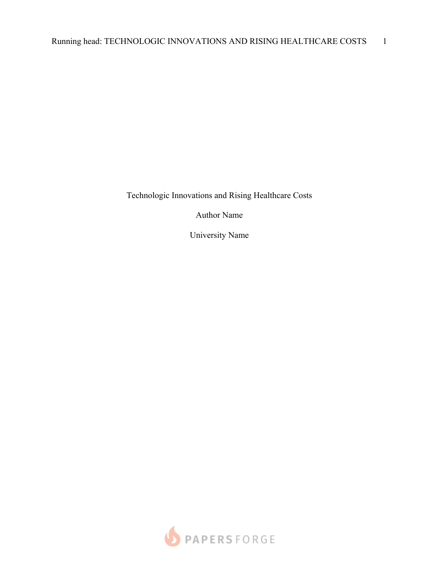Technologic Innovations and Rising Healthcare Costs

Author Name

University Name

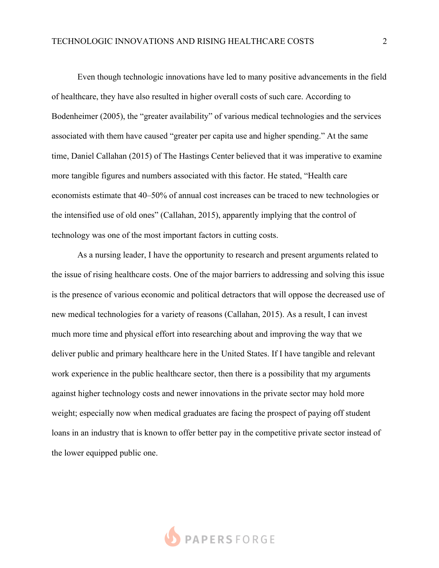Even though technologic innovations have led to many positive advancements in the field of healthcare, they have also resulted in higher overall costs of such care. According to Bodenheimer (2005), the "greater availability" of various medical technologies and the services associated with them have caused "greater per capita use and higher spending." At the same time, Daniel Callahan (2015) of The Hastings Center believed that it was imperative to examine more tangible figures and numbers associated with this factor. He stated, "Health care economists estimate that 40–50% of annual cost increases can be traced to new technologies or the intensified use of old ones" (Callahan, 2015), apparently implying that the control of technology was one of the most important factors in cutting costs.

As a nursing leader, I have the opportunity to research and present arguments related to the issue of rising healthcare costs. One of the major barriers to addressing and solving this issue is the presence of various economic and political detractors that will oppose the decreased use of new medical technologies for a variety of reasons (Callahan, 2015). As a result, I can invest much more time and physical effort into researching about and improving the way that we deliver public and primary healthcare here in the United States. If I have tangible and relevant work experience in the public healthcare sector, then there is a possibility that my arguments against higher technology costs and newer innovations in the private sector may hold more weight; especially now when medical graduates are facing the prospect of paying off student loans in an industry that is known to offer better pay in the competitive private sector instead of the lower equipped public one.